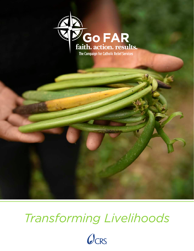



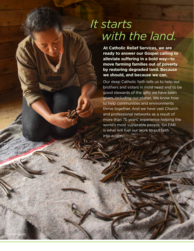## *It starts with the land.*

**At Catholic Relief Services, we are ready to answer our Gospel calling to alleviate suffering in a bold way—to move farming families out of poverty by restoring degraded land. Because we should, and because we can**.

Our deep Catholic faith tells us to help our brothers and sisters in most need and to be good stewards of the gifts we have been given, including our planet. We know how to help communities and environments thrive together. And we have vast Church and professional networks as a result of more than 75 years' experience helping the world's most vulnerable people. Go FAR is what will fuel our work to put faith into action.

Photo by Mark Metzger/CRS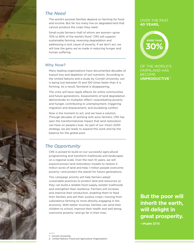### *The Need*

The world's poorest families depend on farming for food and income. But far too many live on degraded land that cannot produce the crops they need.

Small-scale farmers—half of whom are women—grow 70% to 80% of the world's food.<sup>2</sup> CRS will support sustainable farming, reversing degradation and addressing a root cause of poverty. If we don't act, we will lose the gains we've made in reducing hunger and human suffering.

#### Why Now?

Many leading organizations have documented decades of topsoil loss and depletion of soil nutrients. According to the United Nations and a study by Cornell University, soil is being lost between 10 and 100 times faster than it is forming. As a result, farmland is disappearing.

The crisis will have ripple effects for entire communities and future generations. Assessments of land degradation demonstrate its multiplier effect—exacerbating poverty and hunger, contributing to unemployment, triggering migration and displacement, and escalating conflict.

Now is the moment to act, and we have a solution. Through decades of working with poor farmers, CRS has seen the transformational impact that land restoration can have on people's lives. As part of our Vision 2030 strategy, we are ready to expand this work and tip the balance for the global poor.

## *The Opportunity*

CRS is poised to build on our successful agricultural programming and transform livelihoods and landscapes on a regional scale. Over the next 10 years, we will expand proven land restoration models to restore 4 million acres of land and help 1 million people overcome poverty—and protect the planet for future generations.

This campaign priority will help farmers adopt sustainable practices to protect land and resources so they can build a reliable food supply, bolster livelihoods and strengthen their resilience. Farmers will increase and improve their production, enabling them to feed their families and sell their surplus crops—moving from subsistence farming to more directly engaging in the economy. With better incomes, families can send their children to school, improve their health and well being, overcome poverty—and go far in their lives.

*1. Cornell University 2. United Nations Food and Agriculture Organization* 

#### OVER THE PAST **40 YEARS,**

# **30% MORE THAN**

OF THE WORLD'S FARMLAND HAS BECOME **UNPRODUCTIVE 1**

**But the poor will inherit the earth, will delight in great prosperity.**

**—Psalm 37:11**